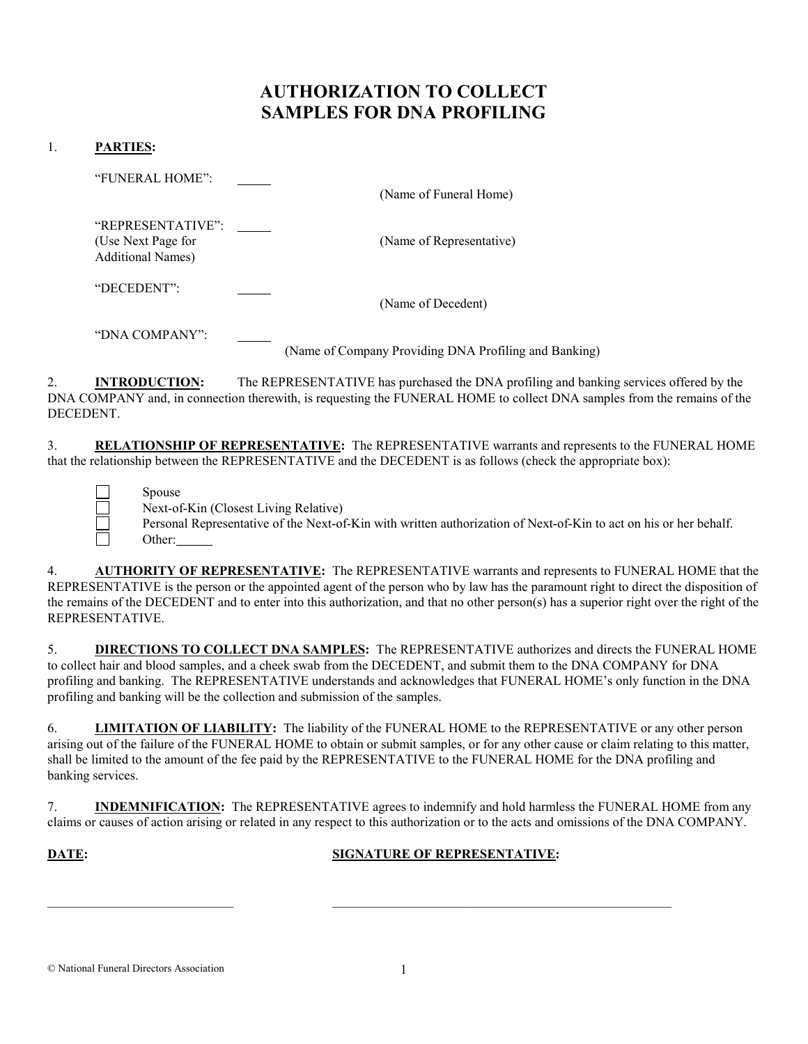# AUTHORIZATION TO COLLECT SAMPLES FOR DNA PROFILING

### 1. PARTIES:

 "FUNERAL HOME": (Name of Funeral Home) "REPRESENTATIVE": (Use Next Page for (Name of Representative) Additional Names) "DECEDENT": (Name of Decedent) "DNA COMPANY": (Name of Company Providing DNA Profiling and Banking)

2. INTRODUCTION: The REPRESENTATIVE has purchased the DNA profiling and banking services offered by the DNA COMPANY and, in connection therewith, is requesting the FUNERAL HOME to collect DNA samples from the remains of the DECEDENT.

3. RELATIONSHIP OF REPRESENTATIVE: The REPRESENTATIVE warrants and represents to the FUNERAL HOME that the relationship between the REPRESENTATIVE and the DECEDENT is as follows (check the appropriate box):

Spouse

Next-of-Kin (Closest Living Relative)

Personal Representative of the Next-of-Kin with written authorization of Next-of-Kin to act on his or her behalf.<br>Other: Other:

4. AUTHORITY OF REPRESENTATIVE: The REPRESENTATIVE warrants and represents to FUNERAL HOME that the REPRESENTATIVE is the person or the appointed agent of the person who by law has the paramount right to direct the disposition of the remains of the DECEDENT and to enter into this authorization, and that no other person(s) has a superior right over the right of the REPRESENTATIVE.

5. DIRECTIONS TO COLLECT DNA SAMPLES: The REPRESENTATIVE authorizes and directs the FUNERAL HOME to collect hair and blood samples, and a cheek swab from the DECEDENT, and submit them to the DNA COMPANY for DNA profiling and banking. The REPRESENTATIVE understands and acknowledges that FUNERAL HOME's only function in the DNA profiling and banking will be the collection and submission of the samples.

6. LIMITATION OF LIABILITY: The liability of the FUNERAL HOME to the REPRESENTATIVE or any other person arising out of the failure of the FUNERAL HOME to obtain or submit samples, or for any other cause or claim relating to this matter, shall be limited to the amount of the fee paid by the REPRESENTATIVE to the FUNERAL HOME for the DNA profiling and banking services.

7. INDEMNIFICATION: The REPRESENTATIVE agrees to indemnify and hold harmless the FUNERAL HOME from any claims or causes of action arising or related in any respect to this authorization or to the acts and omissions of the DNA COMPANY.

 $\_$  , and the set of the set of the set of the set of the set of the set of the set of the set of the set of the set of the set of the set of the set of the set of the set of the set of the set of the set of the set of th

### **DATE:** SIGNATURE OF REPRESENTATIVE:

© National Funeral Directors Association 1